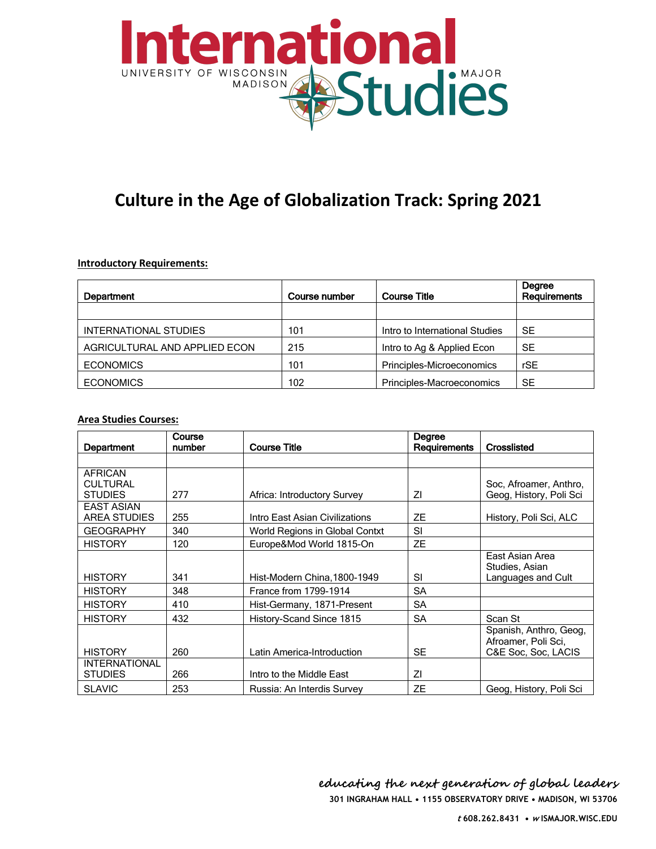

## **Culture in the Age of Globalization Track: Spring 2021**

## **Introductory Requirements:**

| <b>Department</b>             | Course number | <b>Course Title</b>            | Degree<br>Requirements |
|-------------------------------|---------------|--------------------------------|------------------------|
|                               |               |                                |                        |
| INTERNATIONAL STUDIES         | 101           | Intro to International Studies | SE                     |
| AGRICULTURAL AND APPLIED ECON | 215           | Intro to Ag & Applied Econ     | <b>SE</b>              |
| <b>ECONOMICS</b>              | 101           | Principles-Microeconomics      | rSE                    |
| <b>ECONOMICS</b>              | 102           | Principles-Macroeconomics      | SE                     |

## **Area Studies Courses:**

| Department                                          | Course<br>number | <b>Course Title</b>            | Degree<br>Requirements | Crosslisted                                                          |
|-----------------------------------------------------|------------------|--------------------------------|------------------------|----------------------------------------------------------------------|
|                                                     |                  |                                |                        |                                                                      |
| <b>AFRICAN</b><br><b>CULTURAL</b><br><b>STUDIES</b> | 277              | Africa: Introductory Survey    | ΖI                     | Soc, Afroamer, Anthro,<br>Geog, History, Poli Sci                    |
| <b>EAST ASIAN</b><br>AREA STUDIES                   | 255              | Intro East Asian Civilizations | <b>ZE</b>              | History, Poli Sci, ALC                                               |
| <b>GEOGRAPHY</b>                                    | 340              | World Regions in Global Contxt | <b>SI</b>              |                                                                      |
| <b>HISTORY</b>                                      | 120              | Europe&Mod World 1815-On       | <b>ZE</b>              |                                                                      |
| <b>HISTORY</b>                                      | 341              | Hist-Modern China, 1800-1949   | SI                     | East Asian Area<br>Studies, Asian<br>Languages and Cult              |
| <b>HISTORY</b>                                      | 348              | France from 1799-1914          | SA                     |                                                                      |
| <b>HISTORY</b>                                      | 410              | Hist-Germany, 1871-Present     | <b>SA</b>              |                                                                      |
| <b>HISTORY</b>                                      | 432              | History-Scand Since 1815       | <b>SA</b>              | Scan St                                                              |
| <b>HISTORY</b>                                      | 260              | Latin America-Introduction     | <b>SE</b>              | Spanish, Anthro, Geog,<br>Afroamer, Poli Sci,<br>C&E Soc. Soc. LACIS |
| <b>INTERNATIONAL</b><br><b>STUDIES</b>              | 266              | Intro to the Middle East       | ΖI                     |                                                                      |
| <b>SLAVIC</b>                                       | 253              | Russia: An Interdis Survey     | <b>ZE</b>              | Geog, History, Poli Sci                                              |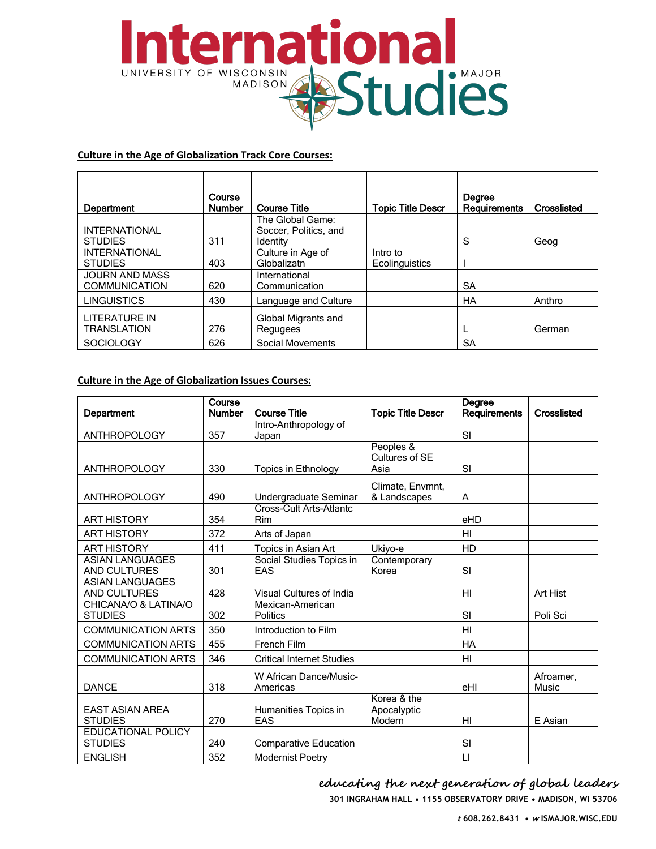

## **Culture in the Age of Globalization Track Core Courses:**

| Department                             | Course<br><b>Number</b> | <b>Course Title</b>               | <b>Topic Title Descr</b> | Degree<br>Requirements | Crosslisted |
|----------------------------------------|-------------------------|-----------------------------------|--------------------------|------------------------|-------------|
|                                        |                         | The Global Game:                  |                          |                        |             |
| <b>INTERNATIONAL</b><br><b>STUDIES</b> | 311                     | Soccer, Politics, and<br>Identity |                          | S                      | Geog        |
| <b>INTERNATIONAL</b>                   |                         | Culture in Age of                 | Intro to                 |                        |             |
| <b>STUDIES</b>                         | 403                     | Globalizatn                       | Ecolinguistics           |                        |             |
| <b>JOURN AND MASS</b>                  |                         | International                     |                          |                        |             |
| <b>COMMUNICATION</b>                   | 620                     | Communication                     |                          | SA                     |             |
| <b>LINGUISTICS</b>                     | 430                     | Language and Culture              |                          | <b>HA</b>              | Anthro      |
| <b>LITERATURE IN</b>                   |                         | Global Migrants and               |                          |                        |             |
| <b>TRANSLATION</b>                     | 276                     | Regugees                          |                          |                        | German      |
| <b>SOCIOLOGY</b>                       | 626                     | Social Movements                  |                          | SA                     |             |

## **Culture in the Age of Globalization Issues Courses:**

| Department                                    | Course<br><b>Number</b> | <b>Course Title</b>                 | <b>Topic Title Descr</b>             | Degree<br>Requirements | Crosslisted        |
|-----------------------------------------------|-------------------------|-------------------------------------|--------------------------------------|------------------------|--------------------|
|                                               |                         | Intro-Anthropology of               |                                      |                        |                    |
| <b>ANTHROPOLOGY</b>                           | 357                     | Japan                               |                                      | SI                     |                    |
|                                               |                         |                                     | Peoples &<br>Cultures of SE          |                        |                    |
| <b>ANTHROPOLOGY</b>                           | 330                     | Topics in Ethnology                 | Asia                                 | SI                     |                    |
| <b>ANTHROPOLOGY</b>                           | 490                     | Undergraduate Seminar               | Climate, Envmnt,<br>& Landscapes     | A                      |                    |
| <b>ART HISTORY</b>                            | 354                     | Cross-Cult Arts-Atlantc<br>Rim      |                                      | eHD                    |                    |
| <b>ART HISTORY</b>                            | 372                     | Arts of Japan                       |                                      | H <sub>l</sub>         |                    |
| <b>ART HISTORY</b>                            | 411                     | Topics in Asian Art                 | Ukiyo-e                              | HD                     |                    |
| <b>ASIAN LANGUAGES</b><br>AND CULTURES        | 301                     | Social Studies Topics in<br>EAS     | Contemporary<br>Korea                | SI                     |                    |
| <b>ASIAN LANGUAGES</b><br><b>AND CULTURES</b> | 428                     | Visual Cultures of India            |                                      | H <sub>l</sub>         | Art Hist           |
| CHICANA/O & LATINA/O<br><b>STUDIES</b>        | 302                     | Mexican-American<br><b>Politics</b> |                                      | SI                     | Poli Sci           |
| <b>COMMUNICATION ARTS</b>                     | 350                     | Introduction to Film                |                                      | H <sub>II</sub>        |                    |
| <b>COMMUNICATION ARTS</b>                     | 455                     | French Film                         |                                      | <b>HA</b>              |                    |
| <b>COMMUNICATION ARTS</b>                     | 346                     | <b>Critical Internet Studies</b>    |                                      | HI                     |                    |
| <b>DANCE</b>                                  | 318                     | W African Dance/Music-<br>Americas  |                                      | eHI                    | Afroamer.<br>Music |
| <b>EAST ASIAN AREA</b><br><b>STUDIES</b>      | 270                     | Humanities Topics in<br>EAS         | Korea & the<br>Apocalyptic<br>Modern | H <sub>l</sub>         | E Asian            |
| EDUCATIONAL POLICY<br><b>STUDIES</b>          | 240                     | <b>Comparative Education</b>        |                                      | SI                     |                    |
| <b>ENGLISH</b>                                | 352                     | <b>Modernist Poetry</b>             |                                      | $\mathsf{L}\mathsf{I}$ |                    |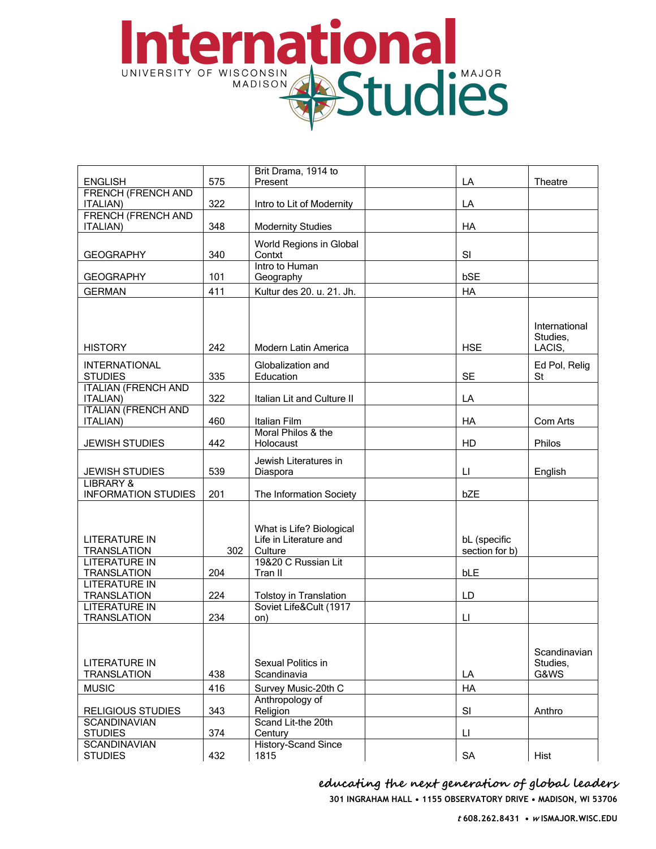## ternational UNIVERSITY OF WISCONSIN STUDIES

|                            |     | Brit Drama, 1914 to        |                |               |
|----------------------------|-----|----------------------------|----------------|---------------|
| <b>ENGLISH</b>             | 575 | Present                    | LA             | Theatre       |
| <b>FRENCH (FRENCH AND</b>  |     |                            |                |               |
| ITALIAN)                   | 322 | Intro to Lit of Modernity  | LA             |               |
| <b>FRENCH (FRENCH AND</b>  |     |                            |                |               |
| <b>ITALIAN)</b>            | 348 | <b>Modernity Studies</b>   | HA             |               |
|                            |     |                            |                |               |
|                            |     | World Regions in Global    |                |               |
| <b>GEOGRAPHY</b>           | 340 | Contxt                     | SI             |               |
|                            |     | Intro to Human             |                |               |
| <b>GEOGRAPHY</b>           | 101 | Geography                  | bSE            |               |
| <b>GERMAN</b>              | 411 | Kultur des 20. u. 21. Jh.  | HA             |               |
|                            |     |                            |                |               |
|                            |     |                            |                |               |
|                            |     |                            |                | International |
|                            |     |                            |                | Studies,      |
| <b>HISTORY</b>             | 242 | Modern Latin America       | <b>HSE</b>     | LACIS,        |
|                            |     |                            |                |               |
| <b>INTERNATIONAL</b>       |     | Globalization and          |                | Ed Pol, Relig |
| <b>STUDIES</b>             | 335 | Education                  | <b>SE</b>      | St            |
| <b>ITALIAN (FRENCH AND</b> |     |                            |                |               |
| <b>ITALIAN)</b>            | 322 | Italian Lit and Culture II | LA             |               |
| <b>ITALIAN (FRENCH AND</b> |     |                            |                |               |
| <b>ITALIAN)</b>            | 460 | Italian Film               | HA             | Com Arts      |
|                            |     | Moral Philos & the         |                |               |
| <b>JEWISH STUDIES</b>      | 442 | Holocaust                  | HD             | Philos        |
|                            |     |                            |                |               |
|                            |     | Jewish Literatures in      |                |               |
| <b>JEWISH STUDIES</b>      | 539 | Diaspora                   | LL.            | English       |
| <b>LIBRARY &amp;</b>       |     |                            |                |               |
| <b>INFORMATION STUDIES</b> | 201 | The Information Society    | bZE            |               |
|                            |     |                            |                |               |
|                            |     |                            |                |               |
|                            |     | What is Life? Biological   |                |               |
| <b>LITERATURE IN</b>       |     | Life in Literature and     | bL (specific   |               |
| <b>TRANSLATION</b>         | 302 | Culture                    | section for b) |               |
| <b>LITERATURE IN</b>       |     | 19&20 C Russian Lit        |                |               |
| <b>TRANSLATION</b>         | 204 | Tran II                    | bLE            |               |
| <b>LITERATURE IN</b>       |     |                            |                |               |
| <b>TRANSLATION</b>         | 224 | Tolstoy in Translation     | LD             |               |
| <b>LITERATURE IN</b>       |     | Soviet Life&Cult (1917     |                |               |
| <b>TRANSLATION</b>         | 234 | on)                        | LI.            |               |
|                            |     |                            |                |               |
|                            |     |                            |                |               |
|                            |     |                            |                | Scandinavian  |
| <b>LITERATURE IN</b>       |     | Sexual Politics in         |                | Studies,      |
|                            | 438 |                            |                | G&WS          |
| <b>TRANSLATION</b>         |     | Scandinavia                | LA             |               |
| <b>MUSIC</b>               | 416 | Survey Music-20th C        | HA             |               |
|                            |     | Anthropology of            |                |               |
| <b>RELIGIOUS STUDIES</b>   | 343 | Religion                   | SI             | Anthro        |
| <b>SCANDINAVIAN</b>        |     | Scand Lit-the 20th         |                |               |
| <b>STUDIES</b>             | 374 | Century                    | П              |               |
| <b>SCANDINAVIAN</b>        |     | <b>History-Scand Since</b> |                |               |
| <b>STUDIES</b>             | 432 | 1815                       | <b>SA</b>      | Hist          |